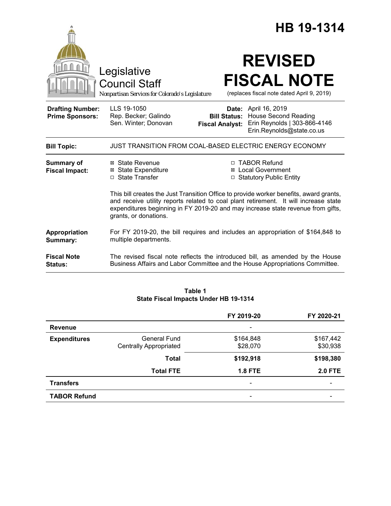|                                                   |                                                                                                                                                                                                                                                                                            |                        | HB 19-1314                                                                                                                                                    |
|---------------------------------------------------|--------------------------------------------------------------------------------------------------------------------------------------------------------------------------------------------------------------------------------------------------------------------------------------------|------------------------|---------------------------------------------------------------------------------------------------------------------------------------------------------------|
|                                                   | Legislative<br><b>Council Staff</b><br>Nonpartisan Services for Colorado's Legislature                                                                                                                                                                                                     |                        | <b>REVISED</b><br><b>FISCAL NOTE</b><br>(replaces fiscal note dated April 9, 2019)                                                                            |
| <b>Drafting Number:</b><br><b>Prime Sponsors:</b> | LLS 19-1050<br>Rep. Becker; Galindo<br>Sen. Winter; Donovan                                                                                                                                                                                                                                | <b>Fiscal Analyst:</b> | Date: April 16, 2019<br><b>Bill Status: House Second Reading</b><br>Erin Reynolds   303-866-4146<br>Erin.Reynolds@state.co.us                                 |
| <b>Bill Topic:</b>                                | JUST TRANSITION FROM COAL-BASED ELECTRIC ENERGY ECONOMY                                                                                                                                                                                                                                    |                        |                                                                                                                                                               |
| <b>Summary of</b><br><b>Fiscal Impact:</b>        | ⊠ State Revenue<br><b>⊠ State Expenditure</b><br>□ State Transfer                                                                                                                                                                                                                          |                        | □ TABOR Refund<br>⊠ Local Government<br>□ Statutory Public Entity                                                                                             |
|                                                   | This bill creates the Just Transition Office to provide worker benefits, award grants,<br>and receive utility reports related to coal plant retirement. It will increase state<br>expenditures beginning in FY 2019-20 and may increase state revenue from gifts,<br>grants, or donations. |                        |                                                                                                                                                               |
| Appropriation<br>Summary:                         | For FY 2019-20, the bill requires and includes an appropriation of \$164,848 to<br>multiple departments.                                                                                                                                                                                   |                        |                                                                                                                                                               |
| <b>Fiscal Note</b><br>Status:                     |                                                                                                                                                                                                                                                                                            |                        | The revised fiscal note reflects the introduced bill, as amended by the House<br>Business Affairs and Labor Committee and the House Appropriations Committee. |

#### **Table 1 State Fiscal Impacts Under HB 19-1314**

|                     |                               | FY 2019-20                   | FY 2020-21     |
|---------------------|-------------------------------|------------------------------|----------------|
| <b>Revenue</b>      |                               | $\overline{\phantom{a}}$     |                |
| <b>Expenditures</b> | General Fund                  | \$164,848                    | \$167,442      |
|                     | <b>Centrally Appropriated</b> | \$28,070                     | \$30,938       |
|                     | Total                         | \$192,918                    | \$198,380      |
|                     | <b>Total FTE</b>              | <b>1.8 FTE</b>               | <b>2.0 FTE</b> |
| <b>Transfers</b>    |                               | $\qquad \qquad \blacksquare$ |                |
| <b>TABOR Refund</b> |                               | -                            |                |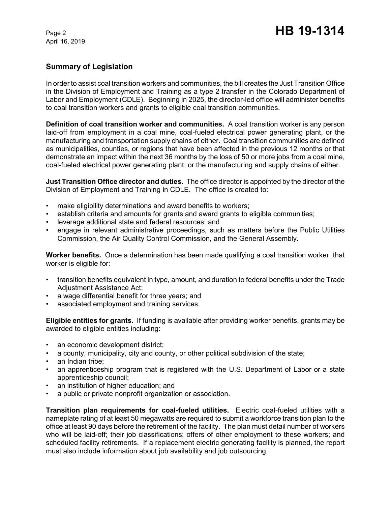# **Summary of Legislation**

In order to assist coal transition workers and communities, the bill creates the Just Transition Office in the Division of Employment and Training as a type 2 transfer in the Colorado Department of Labor and Employment (CDLE). Beginning in 2025, the director-led office will administer benefits to coal transition workers and grants to eligible coal transition communities.

**Definition of coal transition worker and communities.** A coal transition worker is any person laid-off from employment in a coal mine, coal-fueled electrical power generating plant, or the manufacturing and transportation supply chains of either. Coal transition communities are defined as municipalities, counties, or regions that have been affected in the previous 12 months or that demonstrate an impact within the next 36 months by the loss of 50 or more jobs from a coal mine, coal-fueled electrical power generating plant, or the manufacturing and supply chains of either.

**Just Transition Office director and duties.** The office director is appointed by the director of the Division of Employment and Training in CDLE. The office is created to:

- make eligibility determinations and award benefits to workers;
- establish criteria and amounts for grants and award grants to eligible communities;
- leverage additional state and federal resources; and
- engage in relevant administrative proceedings, such as matters before the Public Utilities Commission, the Air Quality Control Commission, and the General Assembly.

**Worker benefits.** Once a determination has been made qualifying a coal transition worker, that worker is eligible for:

- transition benefits equivalent in type, amount, and duration to federal benefits under the Trade Adjustment Assistance Act;
- a wage differential benefit for three years; and
- associated employment and training services.

**Eligible entities for grants.** If funding is available after providing worker benefits, grants may be awarded to eligible entities including:

- an economic development district;
- a county, municipality, city and county, or other political subdivision of the state;
- an Indian tribe:
- an apprenticeship program that is registered with the U.S. Department of Labor or a state apprenticeship council;
- an institution of higher education; and
- a public or private nonprofit organization or association.

**Transition plan requirements for coal-fueled utilities.** Electric coal-fueled utilities with a nameplate rating of at least 50 megawatts are required to submit a workforce transition plan to the office at least 90 days before the retirement of the facility. The plan must detail number of workers who will be laid-off; their job classifications; offers of other employment to these workers; and scheduled facility retirements. If a replacement electric generating facility is planned, the report must also include information about job availability and job outsourcing.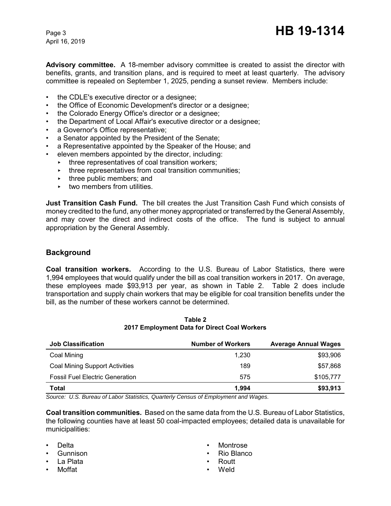**Advisory committee.** A 18-member advisory committee is created to assist the director with benefits, grants, and transition plans, and is required to meet at least quarterly. The advisory committee is repealed on September 1, 2025, pending a sunset review. Members include:

- the CDLE's executive director or a designee;
- the Office of Economic Development's director or a designee;
- the Colorado Energy Office's director or a designee;
- the Department of Local Affair's executive director or a designee;
- a Governor's Office representative;
- a Senator appointed by the President of the Senate:
- a Representative appointed by the Speaker of the House; and
- eleven members appointed by the director, including:
	- $\cdot$  three representatives of coal transition workers;
		- $\cdot$  three representatives from coal transition communities;
	- $\cdot$  three public members; and
	- $\blacktriangleright$  two members from utilities.

**Just Transition Cash Fund.** The bill creates the Just Transition Cash Fund which consists of money credited to the fund, any other money appropriated or transferred by the General Assembly, and may cover the direct and indirect costs of the office. The fund is subject to annual appropriation by the General Assembly.

## **Background**

**Coal transition workers.** According to the U.S. Bureau of Labor Statistics, there were 1,994 employees that would qualify under the bill as coal transition workers in 2017. On average, these employees made \$93,913 per year, as shown in Table 2. Table 2 does include transportation and supply chain workers that may be eligible for coal transition benefits under the bill, as the number of these workers cannot be determined.

| <b>Job Classification</b>              | <b>Number of Workers</b> | <b>Average Annual Wages</b> |
|----------------------------------------|--------------------------|-----------------------------|
| Coal Mining                            | 1.230                    | \$93,906                    |
| <b>Coal Mining Support Activities</b>  | 189                      | \$57.868                    |
| <b>Fossil Fuel Electric Generation</b> | 575                      | \$105.777                   |
| <b>Total</b>                           | 1.994                    | \$93,913                    |

**Table 2 2017 Employment Data for Direct Coal Workers**

*Source: U.S. Bureau of Labor Statistics, Quarterly Census of Employment and Wages.*

**Coal transition communities.** Based on the same data from the U.S. Bureau of Labor Statistics, the following counties have at least 50 coal-impacted employees; detailed data is unavailable for municipalities:

- Delta
- Gunnison
- La Plata
- Moffat
- Montrose
- Rio Blanco
- Routt
- Weld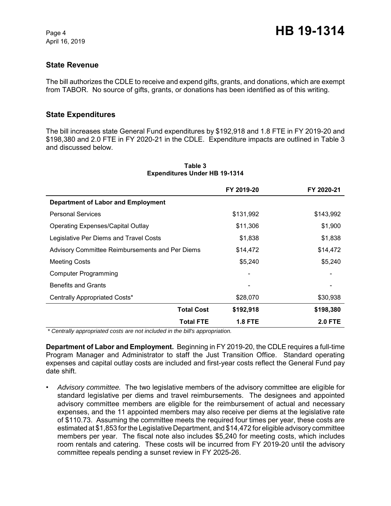### **State Revenue**

The bill authorizes the CDLE to receive and expend gifts, grants, and donations, which are exempt from TABOR. No source of gifts, grants, or donations has been identified as of this writing.

### **State Expenditures**

The bill increases state General Fund expenditures by \$192,918 and 1.8 FTE in FY 2019-20 and \$198,380 and 2.0 FTE in FY 2020-21 in the CDLE. Expenditure impacts are outlined in Table 3 and discussed below.

|                                                 | FY 2019-20     | FY 2020-21     |
|-------------------------------------------------|----------------|----------------|
| <b>Department of Labor and Employment</b>       |                |                |
| <b>Personal Services</b>                        | \$131,992      | \$143,992      |
| <b>Operating Expenses/Capital Outlay</b>        | \$11,306       | \$1,900        |
| Legislative Per Diems and Travel Costs          | \$1,838        | \$1,838        |
| Advisory Committee Reimbursements and Per Diems | \$14,472       | \$14,472       |
| <b>Meeting Costs</b>                            | \$5,240        | \$5,240        |
| <b>Computer Programming</b>                     |                |                |
| <b>Benefits and Grants</b>                      |                |                |
| Centrally Appropriated Costs*                   | \$28,070       | \$30,938       |
| <b>Total Cost</b>                               | \$192,918      | \$198,380      |
| <b>Total FTE</b>                                | <b>1.8 FTE</b> | <b>2.0 FTE</b> |

#### **Table 3 Expenditures Under HB 19-1314**

 *\* Centrally appropriated costs are not included in the bill's appropriation.*

**Department of Labor and Employment.** Beginning in FY 2019-20, the CDLE requires a full-time Program Manager and Administrator to staff the Just Transition Office. Standard operating expenses and capital outlay costs are included and first-year costs reflect the General Fund pay date shift.

• *Advisory committee.* The two legislative members of the advisory committee are eligible for standard legislative per diems and travel reimbursements. The designees and appointed advisory committee members are eligible for the reimbursement of actual and necessary expenses, and the 11 appointed members may also receive per diems at the legislative rate of \$110.73. Assuming the committee meets the required four times per year, these costs are estimated at \$1,853 for the Legislative Department, and \$14,472 for eligible advisory committee members per year. The fiscal note also includes \$5,240 for meeting costs, which includes room rentals and catering. These costs will be incurred from FY 2019-20 until the advisory committee repeals pending a sunset review in FY 2025-26.